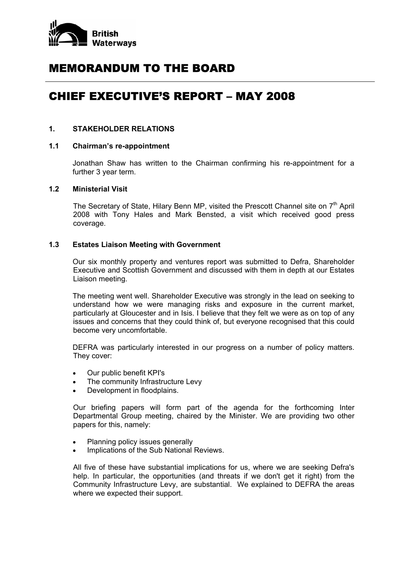

# MEMORANDUM TO THE BOARD

# CHIEF EXECUTIVE'S REPORT – MAY 2008

## **1. STAKEHOLDER RELATIONS**

# **1.1 Chairman's re-appointment**

Jonathan Shaw has written to the Chairman confirming his re-appointment for a further 3 year term.

#### **1.2 Ministerial Visit**

The Secretary of State, Hilary Benn MP, visited the Prescott Channel site on  $7<sup>th</sup>$  April 2008 with Tony Hales and Mark Bensted, a visit which received good press coverage.

## **1.3 Estates Liaison Meeting with Government**

Our six monthly property and ventures report was submitted to Defra, Shareholder Executive and Scottish Government and discussed with them in depth at our Estates Liaison meeting.

The meeting went well. Shareholder Executive was strongly in the lead on seeking to understand how we were managing risks and exposure in the current market, particularly at Gloucester and in Isis. I believe that they felt we were as on top of any issues and concerns that they could think of, but everyone recognised that this could become very uncomfortable.

DEFRA was particularly interested in our progress on a number of policy matters. They cover:

- Our public benefit KPI's
- The community Infrastructure Levy
- Development in floodplains.

Our briefing papers will form part of the agenda for the forthcoming Inter Departmental Group meeting, chaired by the Minister. We are providing two other papers for this, namely:

- Planning policy issues generally
- Implications of the Sub National Reviews.

All five of these have substantial implications for us, where we are seeking Defra's help. In particular, the opportunities (and threats if we don't get it right) from the Community Infrastructure Levy, are substantial. We explained to DEFRA the areas where we expected their support.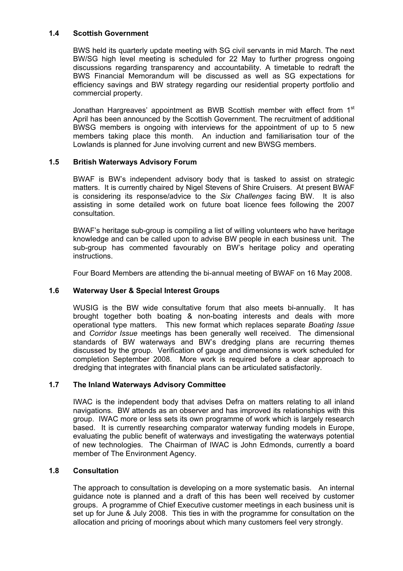# **1.4 Scottish Government**

 BWS held its quarterly update meeting with SG civil servants in mid March. The next BW/SG high level meeting is scheduled for 22 May to further progress ongoing discussions regarding transparency and accountability. A timetable to redraft the BWS Financial Memorandum will be discussed as well as SG expectations for efficiency savings and BW strategy regarding our residential property portfolio and commercial property.

Jonathan Hargreaves' appointment as BWB Scottish member with effect from 1<sup>st</sup> April has been announced by the Scottish Government. The recruitment of additional BWSG members is ongoing with interviews for the appointment of up to 5 new members taking place this month. An induction and familiarisation tour of the Lowlands is planned for June involving current and new BWSG members.

# **1.5 British Waterways Advisory Forum**

BWAF is BW's independent advisory body that is tasked to assist on strategic matters. It is currently chaired by Nigel Stevens of Shire Cruisers. At present BWAF is considering its response/advice to the *Six Challenges* facing BW. It is also assisting in some detailed work on future boat licence fees following the 2007 consultation.

BWAF's heritage sub-group is compiling a list of willing volunteers who have heritage knowledge and can be called upon to advise BW people in each business unit. The sub-group has commented favourably on BW's heritage policy and operating instructions.

Four Board Members are attending the bi-annual meeting of BWAF on 16 May 2008.

# **1.6 Waterway User & Special Interest Groups**

WUSIG is the BW wide consultative forum that also meets bi-annually. It has brought together both boating & non-boating interests and deals with more operational type matters. This new format which replaces separate *Boating Issue* and *Corridor Issue* meetings has been generally well received. The dimensional standards of BW waterways and BW's dredging plans are recurring themes discussed by the group. Verification of gauge and dimensions is work scheduled for completion September 2008. More work is required before a clear approach to dredging that integrates with financial plans can be articulated satisfactorily.

#### **1.7 The Inland Waterways Advisory Committee**

IWAC is the independent body that advises Defra on matters relating to all inland navigations. BW attends as an observer and has improved its relationships with this group. IWAC more or less sets its own programme of work which is largely research based. It is currently researching comparator waterway funding models in Europe, evaluating the public benefit of waterways and investigating the waterways potential of new technologies. The Chairman of IWAC is John Edmonds, currently a board member of The Environment Agency.

#### **1.8 Consultation**

The approach to consultation is developing on a more systematic basis. An internal guidance note is planned and a draft of this has been well received by customer groups. A programme of Chief Executive customer meetings in each business unit is set up for June & July 2008. This ties in with the programme for consultation on the allocation and pricing of moorings about which many customers feel very strongly.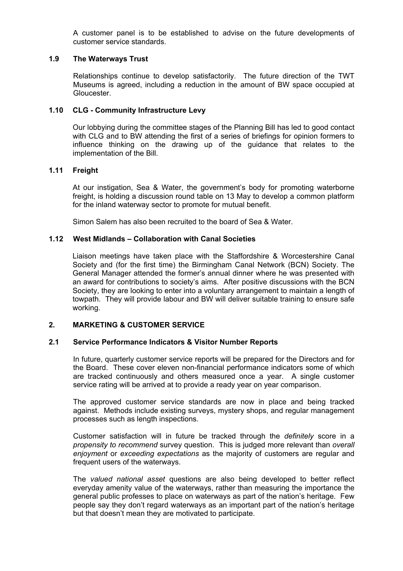A customer panel is to be established to advise on the future developments of customer service standards.

# **1.9 The Waterways Trust**

Relationships continue to develop satisfactorily. The future direction of the TWT Museums is agreed, including a reduction in the amount of BW space occupied at Gloucester.

## **1.10 CLG - Community Infrastructure Levy**

Our lobbying during the committee stages of the Planning Bill has led to good contact with CLG and to BW attending the first of a series of briefings for opinion formers to influence thinking on the drawing up of the guidance that relates to the implementation of the Bill.

## **1.11 Freight**

At our instigation, Sea & Water, the government's body for promoting waterborne freight, is holding a discussion round table on 13 May to develop a common platform for the inland waterway sector to promote for mutual benefit.

Simon Salem has also been recruited to the board of Sea & Water.

## **1.12 West Midlands – Collaboration with Canal Societies**

Liaison meetings have taken place with the Staffordshire & Worcestershire Canal Society and (for the first time) the Birmingham Canal Network (BCN) Society. The General Manager attended the former's annual dinner where he was presented with an award for contributions to society's aims. After positive discussions with the BCN Society, they are looking to enter into a voluntary arrangement to maintain a length of towpath. They will provide labour and BW will deliver suitable training to ensure safe working.

# **2. MARKETING & CUSTOMER SERVICE**

## **2.1 Service Performance Indicators & Visitor Number Reports**

In future, quarterly customer service reports will be prepared for the Directors and for the Board. These cover eleven non-financial performance indicators some of which are tracked continuously and others measured once a year. A single customer service rating will be arrived at to provide a ready year on year comparison.

The approved customer service standards are now in place and being tracked against. Methods include existing surveys, mystery shops, and regular management processes such as length inspections.

Customer satisfaction will in future be tracked through the *definitely* score in a *propensity to recommend* survey question. This is judged more relevant than *overall enjoyment* or *exceeding expectations* as the majority of customers are regular and frequent users of the waterways.

The *valued national asset* questions are also being developed to better reflect everyday amenity value of the waterways, rather than measuring the importance the general public professes to place on waterways as part of the nation's heritage. Few people say they don't regard waterways as an important part of the nation's heritage but that doesn't mean they are motivated to participate.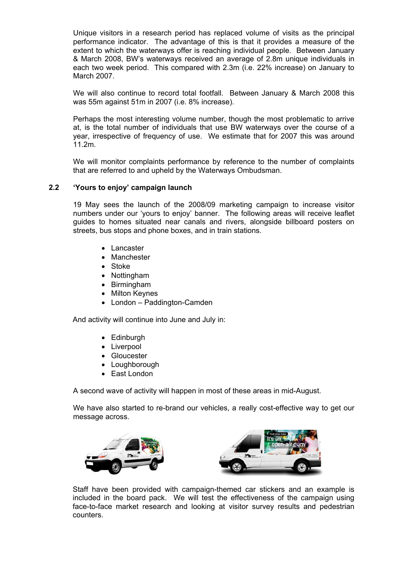Unique visitors in a research period has replaced volume of visits as the principal performance indicator. The advantage of this is that it provides a measure of the extent to which the waterways offer is reaching individual people. Between January & March 2008, BW's waterways received an average of 2.8m unique individuals in each two week period. This compared with 2.3m (i.e. 22% increase) on January to March 2007.

We will also continue to record total footfall. Between January & March 2008 this was 55m against 51m in 2007 (i.e. 8% increase).

Perhaps the most interesting volume number, though the most problematic to arrive at, is the total number of individuals that use BW waterways over the course of a year, irrespective of frequency of use. We estimate that for 2007 this was around 11.2m.

We will monitor complaints performance by reference to the number of complaints that are referred to and upheld by the Waterways Ombudsman.

# **2.2 'Yours to enjoy' campaign launch**

19 May sees the launch of the 2008/09 marketing campaign to increase visitor numbers under our 'yours to enjoy' banner. The following areas will receive leaflet guides to homes situated near canals and rivers, alongside billboard posters on streets, bus stops and phone boxes, and in train stations.

- Lancaster
- Manchester
- Stoke
- Nottingham
- Birmingham
- Milton Keynes
- London Paddington-Camden

And activity will continue into June and July in:

- Edinburgh
- Liverpool
- Gloucester
- Loughborough
- East London

A second wave of activity will happen in most of these areas in mid-August.

We have also started to re-brand our vehicles, a really cost-effective way to get our message across.





Staff have been provided with campaign-themed car stickers and an example is included in the board pack. We will test the effectiveness of the campaign using face-to-face market research and looking at visitor survey results and pedestrian counters.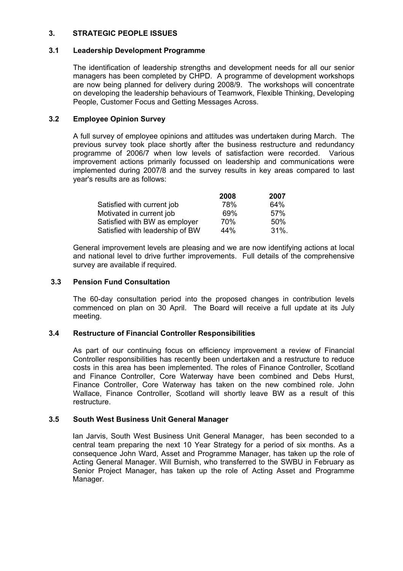# **3. STRATEGIC PEOPLE ISSUES**

## **3.1 Leadership Development Programme**

The identification of leadership strengths and development needs for all our senior managers has been completed by CHPD. A programme of development workshops are now being planned for delivery during 2008/9. The workshops will concentrate on developing the leadership behaviours of Teamwork, Flexible Thinking, Developing People, Customer Focus and Getting Messages Across.

# **3.2 Employee Opinion Survey**

A full survey of employee opinions and attitudes was undertaken during March. The previous survey took place shortly after the business restructure and redundancy programme of 2006/7 when low levels of satisfaction were recorded. Various improvement actions primarily focussed on leadership and communications were implemented during 2007/8 and the survey results in key areas compared to last year's results are as follows:

|                                 | 2008 | 2007     |
|---------------------------------|------|----------|
| Satisfied with current job      | 78%  | 64%      |
| Motivated in current job        | 69%  | 57%      |
| Satisfied with BW as employer   | 70%  | .50%     |
| Satisfied with leadership of BW | 44%  | $31\%$ . |

 General improvement levels are pleasing and we are now identifying actions at local and national level to drive further improvements. Full details of the comprehensive survey are available if required.

## **3.3 Pension Fund Consultation**

The 60-day consultation period into the proposed changes in contribution levels commenced on plan on 30 April. The Board will receive a full update at its July meeting.

#### **3.4 Restructure of Financial Controller Responsibilities**

As part of our continuing focus on efficiency improvement a review of Financial Controller responsibilities has recently been undertaken and a restructure to reduce costs in this area has been implemented. The roles of Finance Controller, Scotland and Finance Controller, Core Waterway have been combined and Debs Hurst, Finance Controller, Core Waterway has taken on the new combined role. John Wallace, Finance Controller, Scotland will shortly leave BW as a result of this restructure.

# **3.5 South West Business Unit General Manager**

Ian Jarvis, South West Business Unit General Manager, has been seconded to a central team preparing the next 10 Year Strategy for a period of six months. As a consequence John Ward, Asset and Programme Manager, has taken up the role of Acting General Manager. Will Burnish, who transferred to the SWBU in February as Senior Project Manager, has taken up the role of Acting Asset and Programme Manager.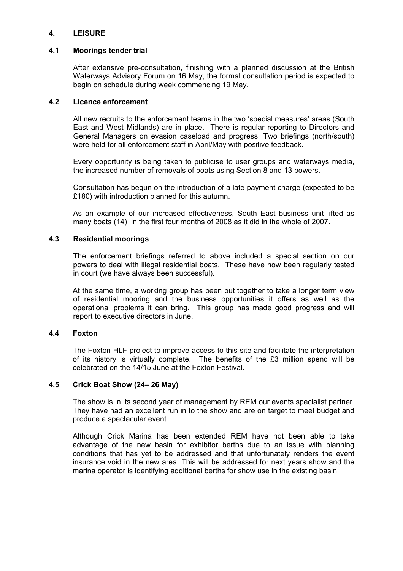# **4. LEISURE**

#### **4.1 Moorings tender trial**

After extensive pre-consultation, finishing with a planned discussion at the British Waterways Advisory Forum on 16 May, the formal consultation period is expected to begin on schedule during week commencing 19 May.

#### **4.2 Licence enforcement**

All new recruits to the enforcement teams in the two 'special measures' areas (South East and West Midlands) are in place. There is regular reporting to Directors and General Managers on evasion caseload and progress. Two briefings (north/south) were held for all enforcement staff in April/May with positive feedback.

Every opportunity is being taken to publicise to user groups and waterways media, the increased number of removals of boats using Section 8 and 13 powers.

Consultation has begun on the introduction of a late payment charge (expected to be £180) with introduction planned for this autumn.

As an example of our increased effectiveness, South East business unit lifted as many boats (14) in the first four months of 2008 as it did in the whole of 2007.

## **4.3 Residential moorings**

The enforcement briefings referred to above included a special section on our powers to deal with illegal residential boats. These have now been regularly tested in court (we have always been successful).

At the same time, a working group has been put together to take a longer term view of residential mooring and the business opportunities it offers as well as the operational problems it can bring. This group has made good progress and will report to executive directors in June.

#### **4.4 Foxton**

The Foxton HLF project to improve access to this site and facilitate the interpretation of its history is virtually complete. The benefits of the £3 million spend will be celebrated on the 14/15 June at the Foxton Festival.

#### **4.5 Crick Boat Show (24– 26 May)**

The show is in its second year of management by REM our events specialist partner. They have had an excellent run in to the show and are on target to meet budget and produce a spectacular event.

Although Crick Marina has been extended REM have not been able to take advantage of the new basin for exhibitor berths due to an issue with planning conditions that has yet to be addressed and that unfortunately renders the event insurance void in the new area. This will be addressed for next years show and the marina operator is identifying additional berths for show use in the existing basin.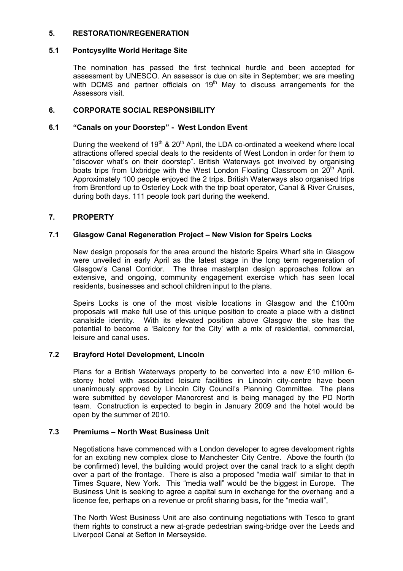# **5. RESTORATION/REGENERATION**

# **5.1 Pontcysyllte World Heritage Site**

The nomination has passed the first technical hurdle and been accepted for assessment by UNESCO. An assessor is due on site in September; we are meeting with DCMS and partner officials on  $19<sup>th</sup>$  May to discuss arrangements for the Assessors visit.

# **6. CORPORATE SOCIAL RESPONSIBILITY**

# **6.1 "Canals on your Doorstep" - West London Event**

During the weekend of  $19<sup>th</sup>$  &  $20<sup>th</sup>$  April, the LDA co-ordinated a weekend where local attractions offered special deals to the residents of West London in order for them to "discover what's on their doorstep". British Waterways got involved by organising boats trips from Uxbridge with the West London Floating Classroom on 20<sup>th</sup> April. Approximately 100 people enjoyed the 2 trips. British Waterways also organised trips from Brentford up to Osterley Lock with the trip boat operator, Canal & River Cruises, during both days. 111 people took part during the weekend.

# **7. PROPERTY**

# **7.1 Glasgow Canal Regeneration Project – New Vision for Speirs Locks**

New design proposals for the area around the historic Speirs Wharf site in Glasgow were unveiled in early April as the latest stage in the long term regeneration of Glasgow's Canal Corridor. The three masterplan design approaches follow an extensive, and ongoing, community engagement exercise which has seen local residents, businesses and school children input to the plans.

Speirs Locks is one of the most visible locations in Glasgow and the £100m proposals will make full use of this unique position to create a place with a distinct canalside identity. With its elevated position above Glasgow the site has the potential to become a 'Balcony for the City' with a mix of residential, commercial, leisure and canal uses.

# **7.2 Brayford Hotel Development, Lincoln**

Plans for a British Waterways property to be converted into a new £10 million 6 storey hotel with associated leisure facilities in Lincoln city-centre have been unanimously approved by Lincoln City Council's Planning Committee. The plans were submitted by developer Manorcrest and is being managed by the PD North team. Construction is expected to begin in January 2009 and the hotel would be open by the summer of 2010.

# **7.3 Premiums – North West Business Unit**

 Negotiations have commenced with a London developer to agree development rights for an exciting new complex close to Manchester City Centre. Above the fourth (to be confirmed) level, the building would project over the canal track to a slight depth over a part of the frontage. There is also a proposed "media wall" similar to that in Times Square, New York. This "media wall" would be the biggest in Europe. The Business Unit is seeking to agree a capital sum in exchange for the overhang and a licence fee, perhaps on a revenue or profit sharing basis, for the "media wall",

 The North West Business Unit are also continuing negotiations with Tesco to grant them rights to construct a new at-grade pedestrian swing-bridge over the Leeds and Liverpool Canal at Sefton in Merseyside.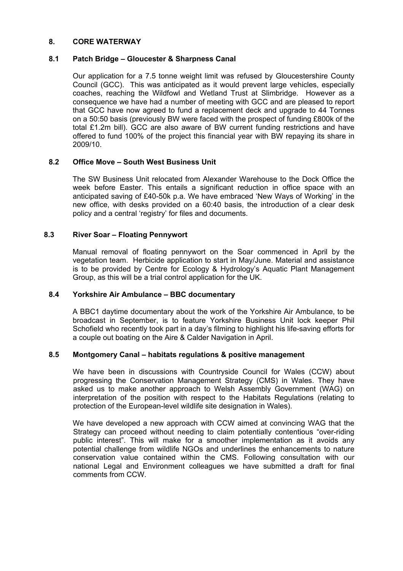## **8. CORE WATERWAY**

## **8.1 Patch Bridge – Gloucester & Sharpness Canal**

Our application for a 7.5 tonne weight limit was refused by Gloucestershire County Council (GCC). This was anticipated as it would prevent large vehicles, especially coaches, reaching the Wildfowl and Wetland Trust at Slimbridge. However as a consequence we have had a number of meeting with GCC and are pleased to report that GCC have now agreed to fund a replacement deck and upgrade to 44 Tonnes on a 50:50 basis (previously BW were faced with the prospect of funding £800k of the total £1.2m bill). GCC are also aware of BW current funding restrictions and have offered to fund 100% of the project this financial year with BW repaying its share in 2009/10.

## **8.2 Office Move – South West Business Unit**

The SW Business Unit relocated from Alexander Warehouse to the Dock Office the week before Easter. This entails a significant reduction in office space with an anticipated saving of £40-50k p.a. We have embraced 'New Ways of Working' in the new office, with desks provided on a 60:40 basis, the introduction of a clear desk policy and a central 'registry' for files and documents.

## **8.3 River Soar – Floating Pennywort**

Manual removal of floating pennywort on the Soar commenced in April by the vegetation team. Herbicide application to start in May/June. Material and assistance is to be provided by Centre for Ecology & Hydrology's Aquatic Plant Management Group, as this will be a trial control application for the UK.

#### **8.4 Yorkshire Air Ambulance – BBC documentary**

A BBC1 daytime documentary about the work of the Yorkshire Air Ambulance, to be broadcast in September, is to feature Yorkshire Business Unit lock keeper Phil Schofield who recently took part in a day's filming to highlight his life-saving efforts for a couple out boating on the Aire & Calder Navigation in April.

#### **8.5 Montgomery Canal – habitats regulations & positive management**

We have been in discussions with Countryside Council for Wales (CCW) about progressing the Conservation Management Strategy (CMS) in Wales. They have asked us to make another approach to Welsh Assembly Government (WAG) on interpretation of the position with respect to the Habitats Regulations (relating to protection of the European-level wildlife site designation in Wales).

We have developed a new approach with CCW aimed at convincing WAG that the Strategy can proceed without needing to claim potentially contentious "over-riding public interest". This will make for a smoother implementation as it avoids any potential challenge from wildlife NGOs and underlines the enhancements to nature conservation value contained within the CMS. Following consultation with our national Legal and Environment colleagues we have submitted a draft for final comments from CCW.